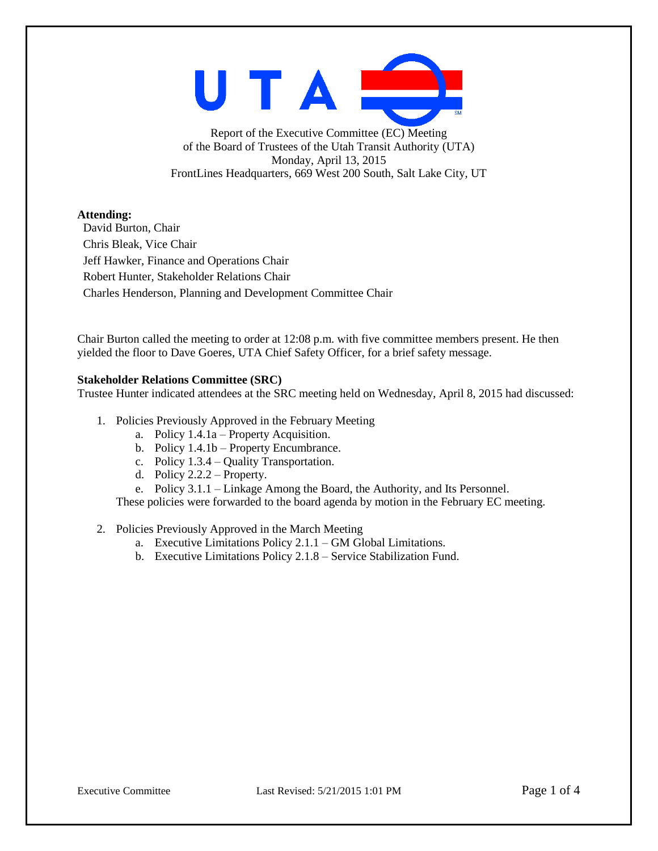UTAI

Report of the Executive Committee (EC) Meeting of the Board of Trustees of the Utah Transit Authority (UTA) Monday, April 13, 2015 FrontLines Headquarters, 669 West 200 South, Salt Lake City, UT

**Attending:**

David Burton, Chair Chris Bleak, Vice Chair Jeff Hawker, Finance and Operations Chair Robert Hunter, Stakeholder Relations Chair Charles Henderson, Planning and Development Committee Chair

Chair Burton called the meeting to order at 12:08 p.m. with five committee members present. He then yielded the floor to Dave Goeres, UTA Chief Safety Officer, for a brief safety message.

## **Stakeholder Relations Committee (SRC)**

Trustee Hunter indicated attendees at the SRC meeting held on Wednesday, April 8, 2015 had discussed:

- 1. Policies Previously Approved in the February Meeting
	- a. Policy 1.4.1a Property Acquisition.
	- b. Policy 1.4.1b Property Encumbrance.
	- c. Policy 1.3.4 Quality Transportation.
	- d. Policy 2.2.2 Property.
	- e. Policy 3.1.1 Linkage Among the Board, the Authority, and Its Personnel.

These policies were forwarded to the board agenda by motion in the February EC meeting.

- 2. Policies Previously Approved in the March Meeting
	- a. Executive Limitations Policy 2.1.1 GM Global Limitations.
	- b. Executive Limitations Policy 2.1.8 Service Stabilization Fund.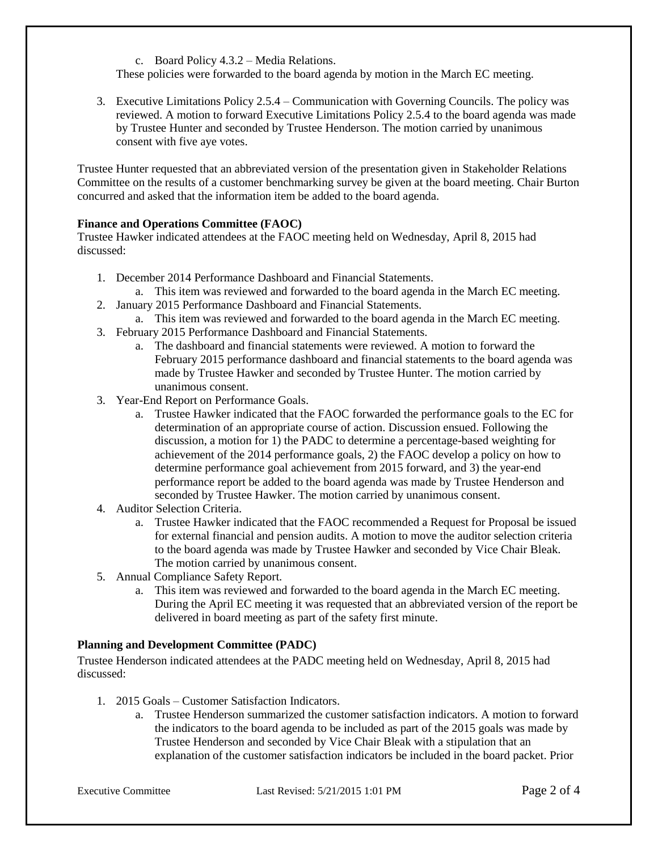c. Board Policy 4.3.2 – Media Relations.

These policies were forwarded to the board agenda by motion in the March EC meeting.

3. Executive Limitations Policy 2.5.4 – Communication with Governing Councils. The policy was reviewed. A motion to forward Executive Limitations Policy 2.5.4 to the board agenda was made by Trustee Hunter and seconded by Trustee Henderson. The motion carried by unanimous consent with five aye votes.

Trustee Hunter requested that an abbreviated version of the presentation given in Stakeholder Relations Committee on the results of a customer benchmarking survey be given at the board meeting. Chair Burton concurred and asked that the information item be added to the board agenda.

## **Finance and Operations Committee (FAOC)**

Trustee Hawker indicated attendees at the FAOC meeting held on Wednesday, April 8, 2015 had discussed:

- 1. December 2014 Performance Dashboard and Financial Statements.
	- a. This item was reviewed and forwarded to the board agenda in the March EC meeting.
- 2. January 2015 Performance Dashboard and Financial Statements. a. This item was reviewed and forwarded to the board agenda in the March EC meeting.
- 3. February 2015 Performance Dashboard and Financial Statements.
	- a. The dashboard and financial statements were reviewed. A motion to forward the February 2015 performance dashboard and financial statements to the board agenda was made by Trustee Hawker and seconded by Trustee Hunter. The motion carried by unanimous consent.
- 3. Year-End Report on Performance Goals.
	- a. Trustee Hawker indicated that the FAOC forwarded the performance goals to the EC for determination of an appropriate course of action. Discussion ensued. Following the discussion, a motion for 1) the PADC to determine a percentage-based weighting for achievement of the 2014 performance goals, 2) the FAOC develop a policy on how to determine performance goal achievement from 2015 forward, and 3) the year-end performance report be added to the board agenda was made by Trustee Henderson and seconded by Trustee Hawker. The motion carried by unanimous consent.
- 4. Auditor Selection Criteria.
	- a. Trustee Hawker indicated that the FAOC recommended a Request for Proposal be issued for external financial and pension audits. A motion to move the auditor selection criteria to the board agenda was made by Trustee Hawker and seconded by Vice Chair Bleak. The motion carried by unanimous consent.
- 5. Annual Compliance Safety Report.
	- a. This item was reviewed and forwarded to the board agenda in the March EC meeting. During the April EC meeting it was requested that an abbreviated version of the report be delivered in board meeting as part of the safety first minute.

## **Planning and Development Committee (PADC)**

Trustee Henderson indicated attendees at the PADC meeting held on Wednesday, April 8, 2015 had discussed:

- 1. 2015 Goals Customer Satisfaction Indicators.
	- a. Trustee Henderson summarized the customer satisfaction indicators. A motion to forward the indicators to the board agenda to be included as part of the 2015 goals was made by Trustee Henderson and seconded by Vice Chair Bleak with a stipulation that an explanation of the customer satisfaction indicators be included in the board packet. Prior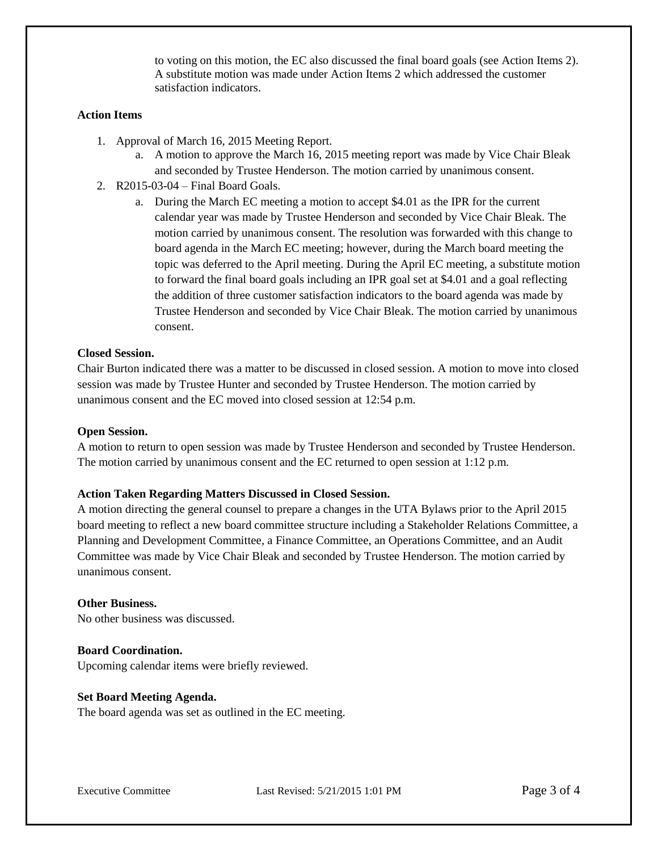to voting on this motion, the EC also discussed the final board goals (see Action Items 2). A substitute motion was made under Action Items 2 which addressed the customer satisfaction indicators.

## **Action Items**

- 1. Approval of March 16, 2015 Meeting Report.
	- a. A motion to approve the March 16, 2015 meeting report was made by Vice Chair Bleak and seconded by Trustee Henderson. The motion carried by unanimous consent.
- 2. R2015-03-04 Final Board Goals.
	- a. During the March EC meeting a motion to accept \$4.01 as the IPR for the current calendar year was made by Trustee Henderson and seconded by Vice Chair Bleak. The motion carried by unanimous consent. The resolution was forwarded with this change to board agenda in the March EC meeting; however, during the March board meeting the topic was deferred to the April meeting. During the April EC meeting, a substitute motion to forward the final board goals including an IPR goal set at \$4.01 and a goal reflecting the addition of three customer satisfaction indicators to the board agenda was made by Trustee Henderson and seconded by Vice Chair Bleak. The motion carried by unanimous consent.

#### **Closed Session.**

Chair Burton indicated there was a matter to be discussed in closed session. A motion to move into closed session was made by Trustee Hunter and seconded by Trustee Henderson. The motion carried by unanimous consent and the EC moved into closed session at 12:54 p.m.

#### **Open Session.**

A motion to return to open session was made by Trustee Henderson and seconded by Trustee Henderson. The motion carried by unanimous consent and the EC returned to open session at 1:12 p.m.

#### **Action Taken Regarding Matters Discussed in Closed Session.**

A motion directing the general counsel to prepare a changes in the UTA Bylaws prior to the April 2015 board meeting to reflect a new board committee structure including a Stakeholder Relations Committee, a Planning and Development Committee, a Finance Committee, an Operations Committee, and an Audit Committee was made by Vice Chair Bleak and seconded by Trustee Henderson. The motion carried by unanimous consent.

#### **Other Business.**

No other business was discussed.

### **Board Coordination.**

Upcoming calendar items were briefly reviewed.

#### **Set Board Meeting Agenda.**

The board agenda was set as outlined in the EC meeting.